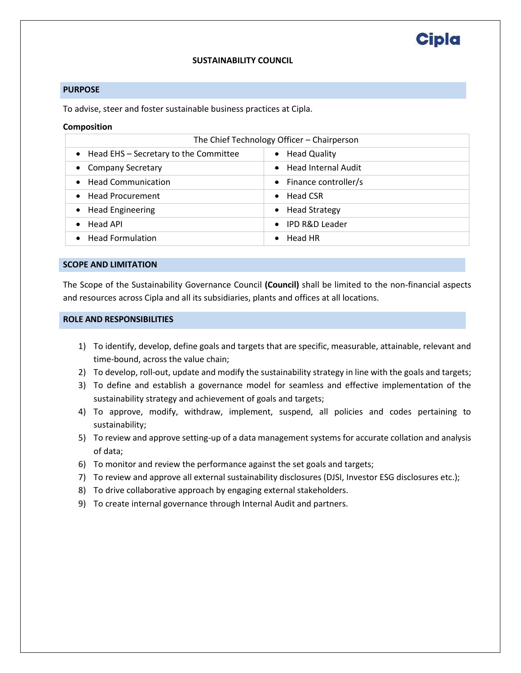# **Cipla**

## **SUSTAINABILITY COUNCIL**

## **PURPOSE**

To advise, steer and foster sustainable business practices at Cipla.

#### **Composition**

| The Chief Technology Officer - Chairperson |                                        |
|--------------------------------------------|----------------------------------------|
| • Head EHS - Secretary to the Committee    | • Head Quality                         |
| <b>Company Secretary</b>                   | • Head Internal Audit                  |
| • Head Communication                       | $\bullet$ Finance controller/s         |
| • Head Procurement                         | $\bullet$ Head CSR                     |
| <b>Head Engineering</b>                    | • Head Strategy                        |
| Head API                                   | <b>IPD R&amp;D Leader</b><br>$\bullet$ |
| <b>Head Formulation</b>                    | Head HR                                |
|                                            |                                        |

#### **SCOPE AND LIMITATION**

The Scope of the Sustainability Governance Council **(Council)** shall be limited to the non-financial aspects and resources across Cipla and all its subsidiaries, plants and offices at all locations.

## **ROLE AND RESPONSIBILITIES**

- 1) To identify, develop, define goals and targets that are specific, measurable, attainable, relevant and time-bound, across the value chain;
- 2) To develop, roll-out, update and modify the sustainability strategy in line with the goals and targets;
- 3) To define and establish a governance model for seamless and effective implementation of the sustainability strategy and achievement of goals and targets;
- 4) To approve, modify, withdraw, implement, suspend, all policies and codes pertaining to sustainability;
- 5) To review and approve setting-up of a data management systems for accurate collation and analysis of data;
- 6) To monitor and review the performance against the set goals and targets;
- 7) To review and approve all external sustainability disclosures (DJSI, Investor ESG disclosures etc.);
- 8) To drive collaborative approach by engaging external stakeholders.
- 9) To create internal governance through Internal Audit and partners.